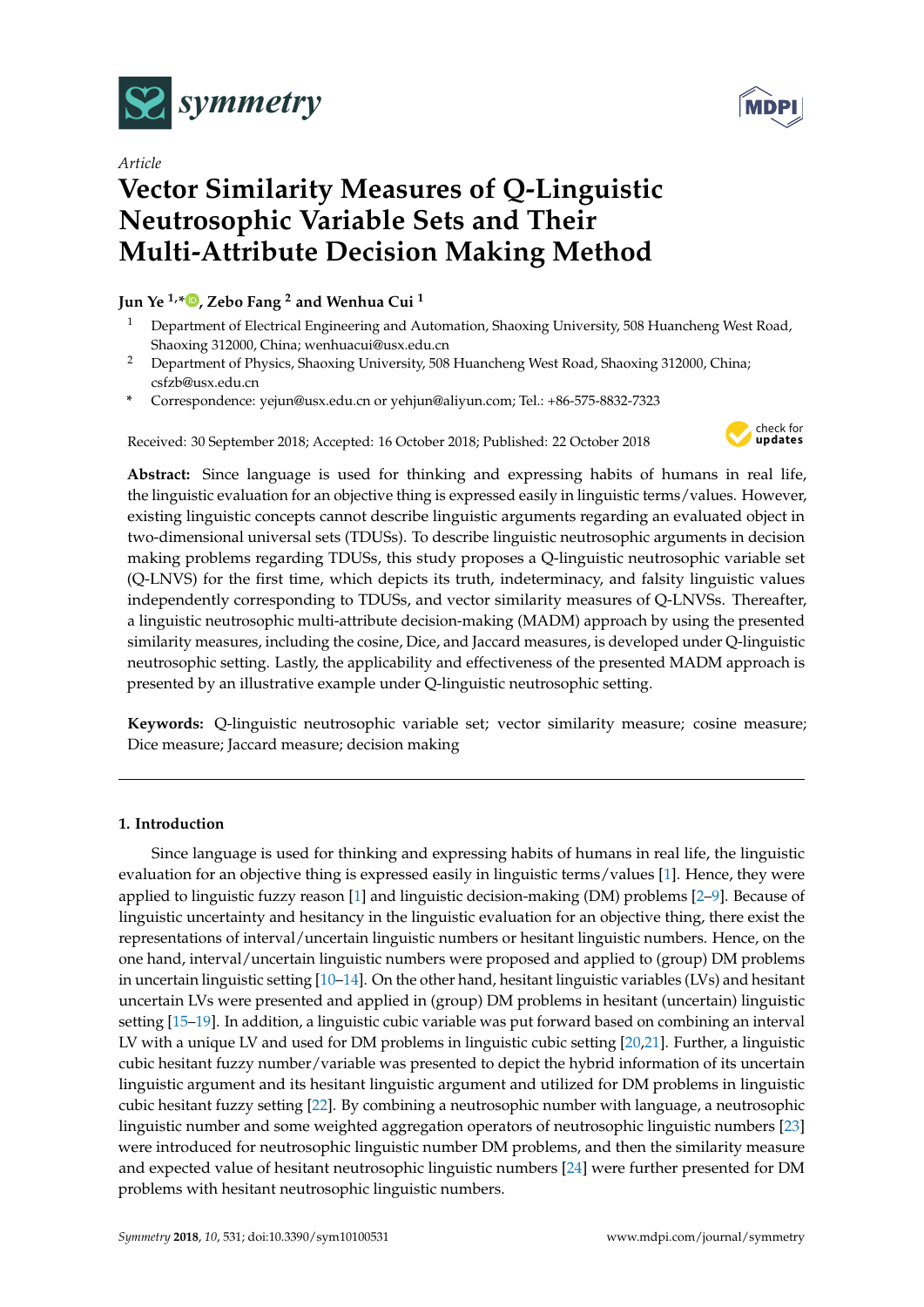

*Article*

# **Vector Similarity Measures of Q-Linguistic Neutrosophic Variable Sets and Their Multi-Attribute Decision Making Method**

# **Jun Ye 1,[\\*](https://orcid.org/0000-0003-2841-6529) , Zebo Fang <sup>2</sup> and Wenhua Cui <sup>1</sup>**

- <sup>1</sup> Department of Electrical Engineering and Automation, Shaoxing University, 508 Huancheng West Road, Shaoxing 312000, China; wenhuacui@usx.edu.cn
- <sup>2</sup> Department of Physics, Shaoxing University, 508 Huancheng West Road, Shaoxing 312000, China; csfzb@usx.edu.cn
- **\*** Correspondence: yejun@usx.edu.cn or yehjun@aliyun.com; Tel.: +86-575-8832-7323

Received: 30 September 2018; Accepted: 16 October 2018; Published: 22 October 2018



**Abstract:** Since language is used for thinking and expressing habits of humans in real life, the linguistic evaluation for an objective thing is expressed easily in linguistic terms/values. However, existing linguistic concepts cannot describe linguistic arguments regarding an evaluated object in two-dimensional universal sets (TDUSs). To describe linguistic neutrosophic arguments in decision making problems regarding TDUSs, this study proposes a Q-linguistic neutrosophic variable set (Q-LNVS) for the first time, which depicts its truth, indeterminacy, and falsity linguistic values independently corresponding to TDUSs, and vector similarity measures of Q-LNVSs. Thereafter, a linguistic neutrosophic multi-attribute decision-making (MADM) approach by using the presented similarity measures, including the cosine, Dice, and Jaccard measures, is developed under Q-linguistic neutrosophic setting. Lastly, the applicability and effectiveness of the presented MADM approach is presented by an illustrative example under Q-linguistic neutrosophic setting.

**Keywords:** Q-linguistic neutrosophic variable set; vector similarity measure; cosine measure; Dice measure; Jaccard measure; decision making

# **1. Introduction**

Since language is used for thinking and expressing habits of humans in real life, the linguistic evaluation for an objective thing is expressed easily in linguistic terms/values [\[1\]](#page-7-0). Hence, they were applied to linguistic fuzzy reason [\[1\]](#page-7-0) and linguistic decision-making (DM) problems [\[2–](#page-7-1)[9\]](#page-7-2). Because of linguistic uncertainty and hesitancy in the linguistic evaluation for an objective thing, there exist the representations of interval/uncertain linguistic numbers or hesitant linguistic numbers. Hence, on the one hand, interval/uncertain linguistic numbers were proposed and applied to (group) DM problems in uncertain linguistic setting [\[10](#page-7-3)[–14\]](#page-7-4). On the other hand, hesitant linguistic variables (LVs) and hesitant uncertain LVs were presented and applied in (group) DM problems in hesitant (uncertain) linguistic setting [\[15](#page-7-5)[–19\]](#page-8-0). In addition, a linguistic cubic variable was put forward based on combining an interval LV with a unique LV and used for DM problems in linguistic cubic setting [\[20](#page-8-1)[,21\]](#page-8-2). Further, a linguistic cubic hesitant fuzzy number/variable was presented to depict the hybrid information of its uncertain linguistic argument and its hesitant linguistic argument and utilized for DM problems in linguistic cubic hesitant fuzzy setting [\[22\]](#page-8-3). By combining a neutrosophic number with language, a neutrosophic linguistic number and some weighted aggregation operators of neutrosophic linguistic numbers [\[23\]](#page-8-4) were introduced for neutrosophic linguistic number DM problems, and then the similarity measure and expected value of hesitant neutrosophic linguistic numbers [\[24\]](#page-8-5) were further presented for DM problems with hesitant neutrosophic linguistic numbers.

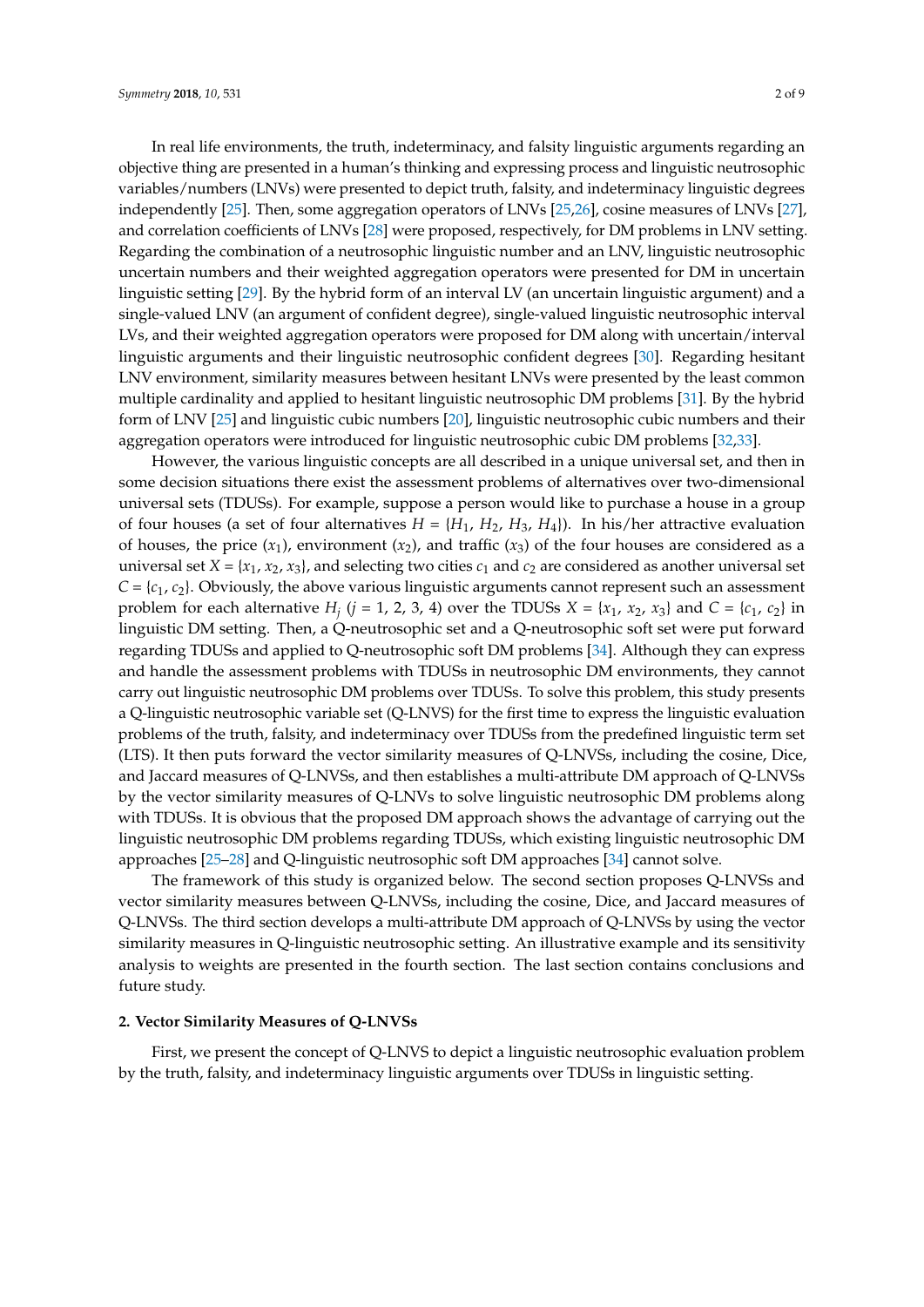In real life environments, the truth, indeterminacy, and falsity linguistic arguments regarding an objective thing are presented in a human's thinking and expressing process and linguistic neutrosophic variables/numbers (LNVs) were presented to depict truth, falsity, and indeterminacy linguistic degrees independently [\[25\]](#page-8-6). Then, some aggregation operators of LNVs [\[25](#page-8-6)[,26\]](#page-8-7), cosine measures of LNVs [\[27\]](#page-8-8), and correlation coefficients of LNVs [\[28\]](#page-8-9) were proposed, respectively, for DM problems in LNV setting. Regarding the combination of a neutrosophic linguistic number and an LNV, linguistic neutrosophic uncertain numbers and their weighted aggregation operators were presented for DM in uncertain linguistic setting [\[29\]](#page-8-10). By the hybrid form of an interval LV (an uncertain linguistic argument) and a single-valued LNV (an argument of confident degree), single-valued linguistic neutrosophic interval LVs, and their weighted aggregation operators were proposed for DM along with uncertain/interval linguistic arguments and their linguistic neutrosophic confident degrees [\[30\]](#page-8-11). Regarding hesitant LNV environment, similarity measures between hesitant LNVs were presented by the least common multiple cardinality and applied to hesitant linguistic neutrosophic DM problems [\[31\]](#page-8-12). By the hybrid form of LNV [\[25\]](#page-8-6) and linguistic cubic numbers [\[20\]](#page-8-1), linguistic neutrosophic cubic numbers and their aggregation operators were introduced for linguistic neutrosophic cubic DM problems [\[32](#page-8-13)[,33\]](#page-8-14).

However, the various linguistic concepts are all described in a unique universal set, and then in some decision situations there exist the assessment problems of alternatives over two-dimensional universal sets (TDUSs). For example, suppose a person would like to purchase a house in a group of four houses (a set of four alternatives  $H = \{H_1, H_2, H_3, H_4\}$ ). In his/her attractive evaluation of houses, the price  $(x_1)$ , environment  $(x_2)$ , and traffic  $(x_3)$  of the four houses are considered as a universal set  $X = \{x_1, x_2, x_3\}$ , and selecting two cities  $c_1$  and  $c_2$  are considered as another universal set  $C = \{c_1, c_2\}$ . Obviously, the above various linguistic arguments cannot represent such an assessment problem for each alternative  $H_j$  ( $j = 1, 2, 3, 4$ ) over the TDUSs  $X = \{x_1, x_2, x_3\}$  and  $C = \{c_1, c_2\}$  in linguistic DM setting. Then, a Q-neutrosophic set and a Q-neutrosophic soft set were put forward regarding TDUSs and applied to Q-neutrosophic soft DM problems [\[34\]](#page-8-15). Although they can express and handle the assessment problems with TDUSs in neutrosophic DM environments, they cannot carry out linguistic neutrosophic DM problems over TDUSs. To solve this problem, this study presents a Q-linguistic neutrosophic variable set (Q-LNVS) for the first time to express the linguistic evaluation problems of the truth, falsity, and indeterminacy over TDUSs from the predefined linguistic term set (LTS). It then puts forward the vector similarity measures of Q-LNVSs, including the cosine, Dice, and Jaccard measures of Q-LNVSs, and then establishes a multi-attribute DM approach of Q-LNVSs by the vector similarity measures of Q-LNVs to solve linguistic neutrosophic DM problems along with TDUSs. It is obvious that the proposed DM approach shows the advantage of carrying out the linguistic neutrosophic DM problems regarding TDUSs, which existing linguistic neutrosophic DM approaches [\[25–](#page-8-6)[28\]](#page-8-9) and Q-linguistic neutrosophic soft DM approaches [\[34\]](#page-8-15) cannot solve.

The framework of this study is organized below. The second section proposes Q-LNVSs and vector similarity measures between Q-LNVSs, including the cosine, Dice, and Jaccard measures of Q-LNVSs. The third section develops a multi-attribute DM approach of Q-LNVSs by using the vector similarity measures in Q-linguistic neutrosophic setting. An illustrative example and its sensitivity analysis to weights are presented in the fourth section. The last section contains conclusions and future study.

#### **2. Vector Similarity Measures of Q-LNVSs**

First, we present the concept of Q-LNVS to depict a linguistic neutrosophic evaluation problem by the truth, falsity, and indeterminacy linguistic arguments over TDUSs in linguistic setting.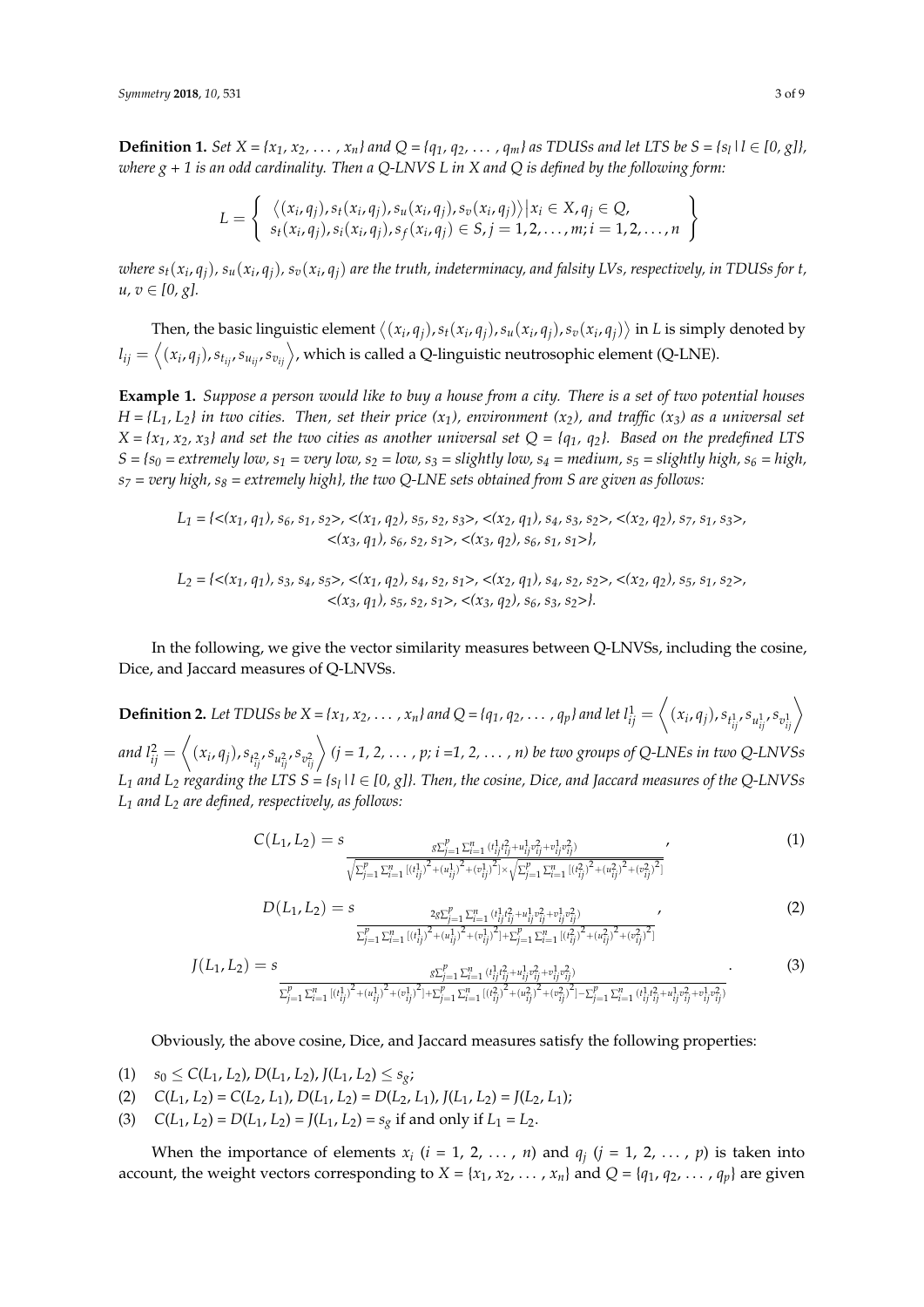**Definition 1.** Set  $X = \{x_1, x_2, ..., x_n\}$  and  $Q = \{q_1, q_2, ..., q_m\}$  as TDUSs and let LTS be  $S = \{s_l | l \in [0, g]\}$ , *where g + 1 is an odd cardinality. Then a Q-LNVS L in X and Q is defined by the following form:*

$$
L = \left\{\begin{array}{l}\langle (x_i, q_j), s_t(x_i, q_j), s_u(x_i, q_j), s_v(x_i, q_j) \rangle | x_i \in X, q_j \in Q, \\s_t(x_i, q_j), s_t(x_i, q_j), s_f(x_i, q_j) \in S, j = 1, 2, \ldots, m; i = 1, 2, \ldots, n\end{array}\right\}
$$

where  $s_t(x_i,q_j)$ ,  $s_u(x_i,q_j)$ ,  $s_v(x_i,q_j)$  are the truth, indeterminacy, and falsity LVs, respectively, in TDUSs for t, *u*, *v* ∈  $[0, g]$ .

Then, the basic linguistic element  $\langle (x_i,q_j),s_t(x_i,q_j),s_u(x_i,q_j),s_v(x_i,q_j) \rangle$  in L is simply denoted by  $l_{ij}=\left\langle (x_i,q_j), s_{t_{ij}}, s_{u_{ij}}, s_{v_{ij}} \right\rangle$ , which is called a Q-linguistic neutrosophic element (Q-LNE).

**Example 1.** *Suppose a person would like to buy a house from a city. There is a set of two potential houses*  $H = \{L_1, L_2\}$  *in two cities. Then, set their price*  $(x_1)$ *, environment*  $(x_2)$ *, and traffic*  $(x_3)$  *as a universal set*  $X = \{x_1, x_2, x_3\}$  and set the two cities as another universal set  $Q = \{q_1, q_2\}$ . Based on the predefined LTS  $S = \{s_0 = \text{extremely }low, s_1 = \text{very }low, s_2 = \text{low}, s_3 = \text{slightly }low, s_4 = \text{medium}, s_5 = \text{slightly }high, s_6 = \text{high}, s_7 = \text{high} \}$ *s<sup>7</sup> = very high, s<sup>8</sup> = extremely high}, the two Q-LNE sets obtained from S are given as follows:*

$$
L_1 = \{ \langle (x_1, q_1), s_6, s_1, s_2 \rangle, \langle (x_1, q_2), s_5, s_2, s_3 \rangle, \langle (x_2, q_1), s_4, s_3, s_2 \rangle, \langle (x_2, q_2), s_7, s_1, s_3 \rangle, \\ \langle (x_3, q_1), s_6, s_2, s_1 \rangle, \langle (x_3, q_2), s_6, s_1, s_1 \rangle \},
$$

$$
L_2 = \{ \langle (x_1, q_1), s_3, s_4, s_5 \rangle, \langle (x_1, q_2), s_4, s_2, s_1 \rangle, \langle (x_2, q_1), s_4, s_2, s_2 \rangle, \langle (x_2, q_2), s_5, s_1, s_2 \rangle, \\ \langle (x_3, q_1), s_5, s_2, s_1 \rangle, \langle (x_3, q_2), s_6, s_3, s_2 \rangle \}.
$$

In the following, we give the vector similarity measures between Q-LNVSs, including the cosine, Dice, and Jaccard measures of Q-LNVSs.

**Definition 2.** Let TDUSs be  $X = \{x_1, x_2, \ldots, x_n\}$  and  $Q = \{q_1, q_2, \ldots, q_p\}$  and let  $l_{ij}^1 = \left\langle (x_i, q_j), s_{t_{ij}^1}, s_{u_{ij}^1}, s_{v_{ij}^1} \right\rangle$ and  $l_{ij}^2=\left<(x_i,q_j),s_{t_{ij}^2},s_{u_{ij}^2},s_{v_{ij}^2}\right>(j=1,2,\ldots$  ,  $p;$   $i$  =1, 2,  $\ldots$  ,  $n)$  be two groups of Q-LNEs in two Q-LNVSs *L*<sub>1</sub> and *L*<sub>2</sub> *regarding the LTS*  $S = \{s_l | l \in [0, g]\}$ . Then, the cosine, Dice, and Jaccard measures of the Q-LNVSs *L<sup>1</sup> and L<sup>2</sup> are defined, respectively, as follows:*

$$
C(L_1, L_2) = s \frac{s \Sigma_{j=1}^p \Sigma_{i=1}^n (i_{ij}^1 i_{ij}^2 + u_{ij}^1 v_{ij}^2 + v_{ij}^1 v_{ij}^2)}{\sqrt{\Sigma_{j=1}^p \Sigma_{i=1}^n [(i_{ij}^1)^2 + (u_{ij}^1)^2 + (v_{ij}^1)^2] \times \sqrt{\Sigma_{j=1}^p \Sigma_{i=1}^n [(i_{ij}^2)^2 + (u_{ij}^2)^2 + (v_{ij}^2)^2]}}}.
$$
(1)

$$
D(L_1, L_2) = s \frac{2g \sum_{j=1}^p \sum_{i=1}^n (t_{ij}^1 t_j^2 + u_{ij}^1 v_{ij}^2 + v_{ij}^1 v_{ij}^2)}{\sum_{j=1}^p \sum_{i=1}^n [(t_{ij}^1)^2 + (u_{ij}^1)^2 + (v_{ij}^1)^2] + \sum_{j=1}^p \sum_{i=1}^n [(t_{ij}^2)^2 + (u_{ij}^2)^2 + (v_{ij}^2)^2]}
$$
\n
$$
(2)
$$

$$
J(L_1, L_2) = s \frac{g \sum_{j=1}^{p} \sum_{i=1}^{n} (i_{ij}^1 i_{ij}^2 + u_{ij}^1 v_{ij}^2 + v_{ij}^1 v_{ij}^2)}{\sum_{j=1}^{p} \sum_{i=1}^{n} [(i_{ij}^1)^2 + (u_{ij}^1)^2 + (v_{ij}^1)^2] + \sum_{j=1}^{p} \sum_{i=1}^{n} [(i_{ij}^2)^2 + (u_{ij}^2)^2 + (v_{ij}^2)^2] - \sum_{j=1}^{p} \sum_{i=1}^{n} (i_{ij}^1 i_{ij}^2 + u_{ij}^1 v_{ij}^2 + v_{ij}^1 v_{ij}^2)}.
$$
\n(3)

Obviously, the above cosine, Dice, and Jaccard measures satisfy the following properties:

- (1)  $s_0 \leq C(L_1, L_2), D(L_1, L_2), J(L_1, L_2) \leq s_g;$
- (2)  $C(L_1, L_2) = C(L_2, L_1), D(L_1, L_2) = D(L_2, L_1), J(L_1, L_2) = J(L_2, L_1);$
- (3)  $C(L_1, L_2) = D(L_1, L_2) = J(L_1, L_2) = s_g$  if and only if  $L_1 = L_2$ .

When the importance of elements  $x_i$  ( $i = 1, 2, ..., n$ ) and  $q_j$  ( $j = 1, 2, ..., p$ ) is taken into account, the weight vectors corresponding to  $X = \{x_1, x_2, \dots, x_n\}$  and  $Q = \{q_1, q_2, \dots, q_p\}$  are given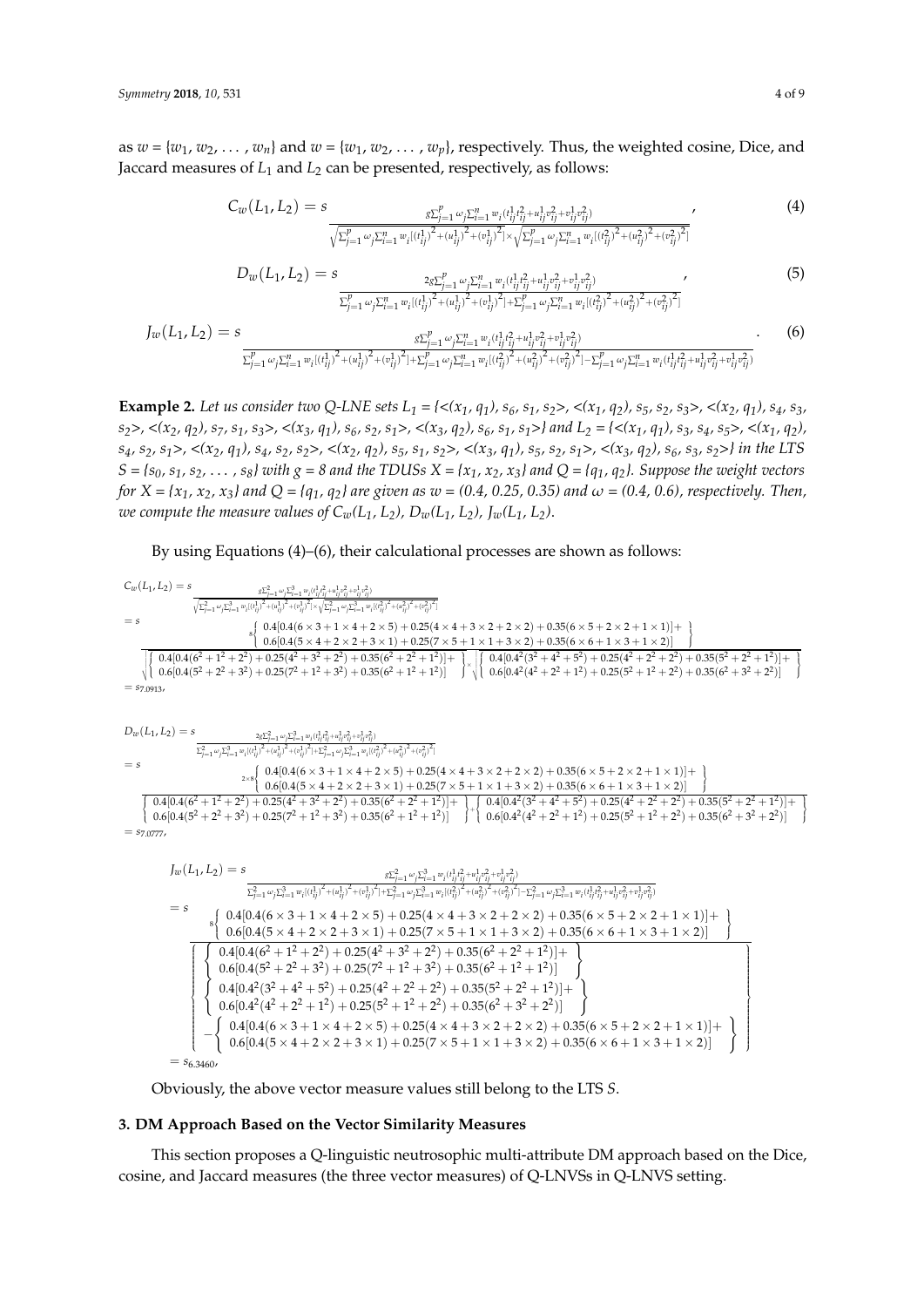as  $w = \{w_1, w_2, \dots, w_n\}$  and  $w = \{w_1, w_2, \dots, w_p\}$ , respectively. Thus, the weighted cosine, Dice, and Jaccard measures of *L*<sup>1</sup> and *L*<sup>2</sup> can be presented, respectively, as follows:

$$
C_w(L_1, L_2) = s \frac{\delta \sum_{j=1}^p \omega_j \sum_{i=1}^n w_i (t_{ij}^1 t_{ij}^2 + u_{ij}^1 v_{ij}^2 + v_{ij}^1 v_{ij}^2)}{\sqrt{\sum_{j=1}^p \omega_j \sum_{i=1}^n w_i [(t_{ij}^1)^2 + (u_{ij}^1)^2 + (v_{ij}^1)^2] \times \sqrt{\sum_{j=1}^p \omega_j \sum_{i=1}^n w_i [(t_{ij}^2)^2 + (u_{ij}^2)^2 + (v_{ij}^2)^2]}}} \tag{4}
$$

$$
D_{w}(L_{1}, L_{2}) = s \frac{2g\sum_{j=1}^{p}\omega_{j}\sum_{i=1}^{n}\omega_{i}(t_{ij}^{1}t_{ij}^{2} + u_{ij}^{1}v_{ij}^{2} + v_{ij}^{1}v_{ij}^{2})}{\sum_{j=1}^{p}\omega_{j}\sum_{i=1}^{n}\omega_{i}[(t_{ij}^{1})^{2} + (u_{ij}^{1})^{2} + (v_{ij}^{1})^{2}] + \sum_{j=1}^{p}\omega_{j}\sum_{i=1}^{n}\omega_{i}[(t_{ij}^{2})^{2} + (u_{ij}^{2})^{2} + (v_{ij}^{2})^{2}]}
$$
\n
$$
(5)
$$

$$
J_{w}(L_{1}, L_{2}) = s \frac{g \sum_{j=1}^{p} \omega_{j} \sum_{i=1}^{n} w_{i} (t_{ij}^{1}t_{j}^{2} + u_{ij}^{1}t_{ij}^{2} + u_{ij}^{1}t_{ij}^{2} + v_{ij}^{1}t_{ij}^{2})}{\sum_{j=1}^{p} \omega_{j} \sum_{i=1}^{n} w_{i} (t_{ij}^{1})^{2} + (u_{ij}^{1})^{2} + (v_{ij}^{1})^{2} + (\sum_{j=1}^{p} \omega_{j} \sum_{i=1}^{n} w_{i} (t_{ij}^{2})^{2} + (u_{ij}^{2})^{2} + (v_{ij}^{2})^{2}) - \sum_{j=1}^{p} \omega_{j} \sum_{i=1}^{n} w_{i} (t_{ij}^{1}t_{ij}^{2} + u_{ij}^{1}v_{ij}^{2} + v_{ij}^{1}v_{ij}^{2})}
$$
\n
$$
(6)
$$

**Example 2.** Let us consider two Q-LNE sets  $L_1 = \{ \langle (x_1, q_1), s_6, s_1, s_2 \rangle, \langle (x_1, q_2), s_5, s_2, s_3 \rangle, \langle (x_2, q_1), s_4, s_3, s_4 \rangle \}$  $s_2$ , <(x<sub>2</sub>, q<sub>2</sub>), s<sub>7</sub>, s<sub>1</sub>, s<sub>3</sub>>, <(x<sub>3</sub>, q<sub>1</sub>), s<sub>6</sub>, s<sub>2</sub>, s<sub>1</sub>>, <(x<sub>3</sub>, q<sub>2</sub>), s<sub>6</sub>, s<sub>1</sub>, s<sub>1</sub>>} and L<sub>2</sub> = {<(x<sub>1</sub>, q<sub>1</sub>), s<sub>3</sub>, s<sub>4</sub>, s<sub>5</sub>>, <(x<sub>1</sub>, q<sub>2</sub>),  $s_4$ ,  $s_2$ ,  $s_1$ >, <(x<sub>2</sub>, q<sub>1</sub>),  $s_4$ ,  $s_2$ ,  $s_2$ >, <(x<sub>2</sub>, q<sub>2</sub>),  $s_5$ ,  $s_1$ ,  $s_2$ >, <(x<sub>3</sub>, q<sub>1</sub>),  $s_5$ ,  $s_2$ ,  $s_1$ >, <(x<sub>3</sub>, q<sub>2</sub>),  $s_6$ ,  $s_3$ ,  $s_2$ >} in the LTS  $S = \{s_0, s_1, s_2, \ldots, s_8\}$  with  $g = 8$  and the TDUSs  $X = \{x_1, x_2, x_3\}$  and  $Q = \{q_1, q_2\}$ . Suppose the weight vectors *for*  $X = \{x_1, x_2, x_3\}$  and  $Q = \{q_1, q_2\}$  are given as  $w = (0.4, 0.25, 0.35)$  and  $\omega = (0.4, 0.6)$ , respectively. Then, *we compute the measure values of*  $C_w(L_1, L_2)$ *,*  $D_w(L_1, L_2)$ *,*  $J_w(L_1, L_2)$ *.* 

By using Equations (4)–(6), their calculational processes are shown as follows:

$$
\begin{array}{l} \displaystyle C_w(L_1,L_2)=s\frac{s\bar{z}_{[-1}^2-\bar{z}_1^2-\bar{z}_2^2(\bar{z}_1^2+\bar{z}_2^2+\bar{z}_3^2(\bar{z}_1^2+\bar{z}_2^2+\bar{z}_3^2+\bar{z}_3^2+\bar{z}_3^2+\bar{z}_3^2+\bar{z}_3^2+\bar{z}_3^2+\bar{z}_3^2+\bar{z}_3^2+\bar{z}_3^2+\bar{z}_3^2+\bar{z}_3^2+\bar{z}_3^2+\bar{z}_3^2+\bar{z}_3^2+\bar{z}_3^2+\bar{z}_3^2+\bar{z}_3^2+\bar{z}_3+\bar{z}_3+\bar{z}_3+\bar{z}_3+\bar{z}_3+\bar{z}_3+\bar{z}_3+\bar{z}_3+\bar{z}_3+\bar{z}_3+\bar{z}_3+\bar{z}_3+\bar{z}_3+\bar{z}_3+\bar{z}_3+\bar{z}_3+\bar{z}_3+\bar{z}_3+\bar{z}_3+\bar{z}_3+\bar{z}_3+\bar{z}_3+\bar{z}_3+\bar{z}_3+\bar{z}_3+\bar{z}_3+\bar{z}_3+\bar{z}_3+\bar{z}_3+\bar{z}_3+\bar{z}_3+\bar{z}_3+\bar{z}_3+\bar{z}_3+\bar{z}_3+\bar{z}_3+\bar{z}_3+\bar{z}_3+\bar{z}_3+\bar{z}_3+\bar{z}_3+\bar{z}_3+\bar{z}_3+\bar{z}_3+\bar{z}_3+\bar{z}_3+\bar{z}_3+\bar{z}_3+\bar{z}_3+\bar{z}_3+\bar{z}_3+\bar{z}_3+\bar{z}_3+\bar{z}_3+\bar{z}_3+\bar{z}_3+\bar{z}_3+\bar{z}_3+\bar{z}_3+\bar{z}_3+\bar{z}_3+\bar{z}_3+\bar{z}_3+\bar{z}_3+\bar{z}_3+\bar{z}_3+\bar{z}_3+\bar{z}_3+\bar{z}_3+\bar{z}_3+\bar{z}_3+\bar{z}_3+\bar{z}_3+\bar{z}_3+\bar{z}_3+\bar{z}_3+\bar{z}_3+\bar{z}_3+\bar{z}_3+\bar{z}_3+\bar{z}_3+\bar{z}_3+\bar{z}_3+\bar{z}_3+\bar{z}_3+\bar{z}_3+\bar{z}_3+\bar{z}_3+\bar{z}_3+\
$$

Obviously, the above vector measure values still belong to the LTS *S*.

## **3. DM Approach Based on the Vector Similarity Measures**

This section proposes a Q-linguistic neutrosophic multi-attribute DM approach based on the Dice, cosine, and Jaccard measures (the three vector measures) of Q-LNVSs in Q-LNVS setting.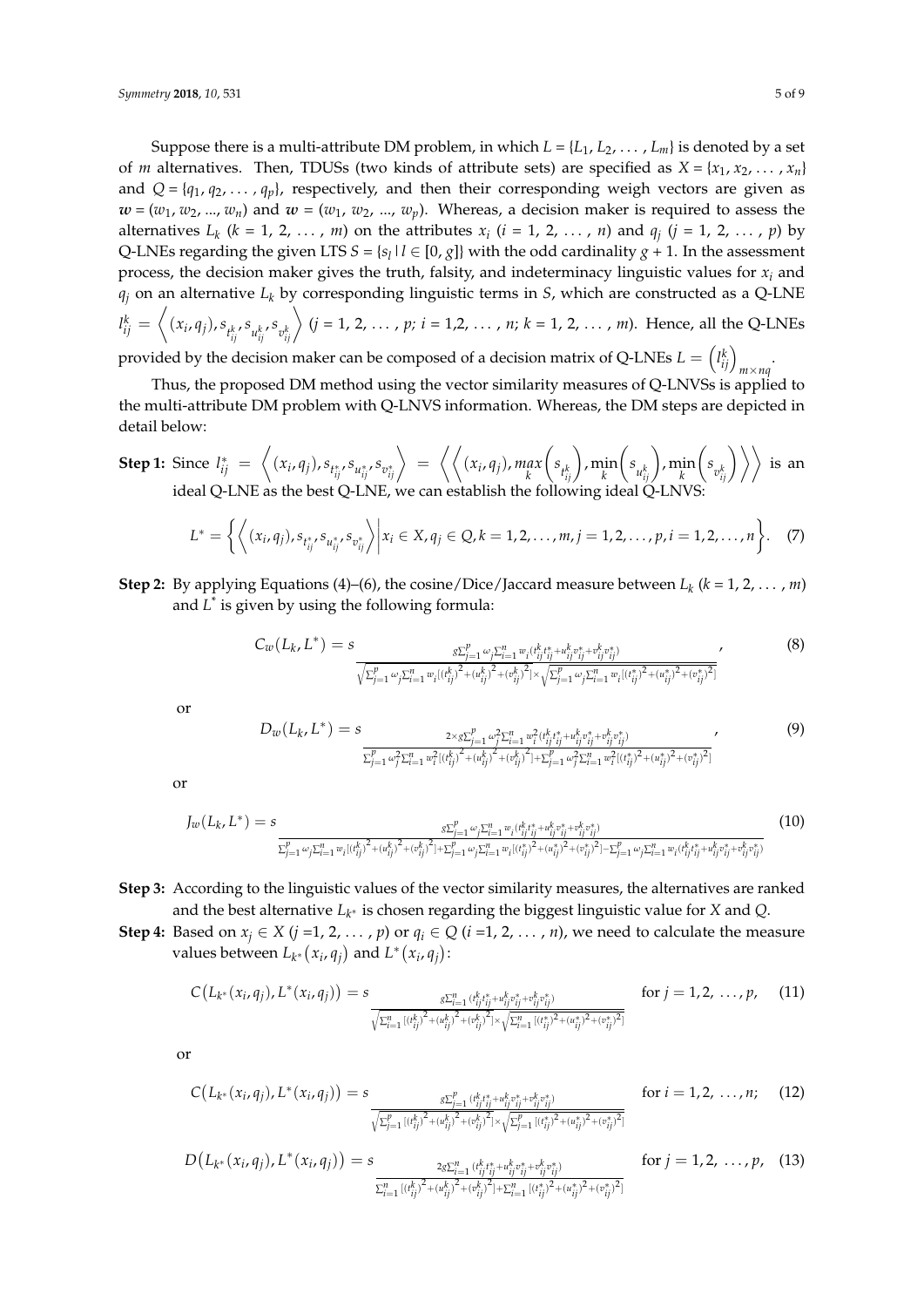Suppose there is a multi-attribute DM problem, in which  $L = \{L_1, L_2, \ldots, L_m\}$  is denoted by a set of *m* alternatives. Then, TDUSs (two kinds of attribute sets) are specified as  $X = \{x_1, x_2, \ldots, x_n\}$ and  $Q = \{q_1, q_2, \dots, q_p\}$ , respectively, and then their corresponding weigh vectors are given as  $\mathbf{w} = (w_1, w_2, ..., w_n)$  and  $\mathbf{w} = (w_1, w_2, ..., w_p)$ . Whereas, a decision maker is required to assess the alternatives  $L_k$  ( $k = 1, 2, ..., m$ ) on the attributes  $x_i$  ( $i = 1, 2, ..., n$ ) and  $q_j$  ( $j = 1, 2, ..., p$ ) by Q-LNEs regarding the given LTS  $S = \{s_l | l \in [0, g]\}$  with the odd cardinality  $g + 1$ . In the assessment process, the decision maker gives the truth, falsity, and indeterminacy linguistic values for  $x_i$  and  $q_i$  on an alternative  $L_k$  by corresponding linguistic terms in *S*, which are constructed as a Q-LNE  $l_{ij}^k=\left\langle (x_i,q_j),s_{t_{ij}^k},s_{u_{ij}^k},s_{v_{ij}^k}\right\rangle (j=1,2,\,\ldots\,,p;\,i=1,2,\,\ldots\,,n;\,k=1,\,2,\,\ldots\,,m).$  Hence, all the Q-LNEs

provided by the decision maker can be composed of a decision matrix of Q-LNEs  $L = \left(\begin{smallmatrix} l_k^k\end{smallmatrix}\right)_{m\times nq}$ 

Thus, the proposed DM method using the vector similarity measures of Q-LNVSs is applied to the multi-attribute DM problem with Q-LNVS information. Whereas, the DM steps are depicted in detail below:

**Step 1:** Since  $l_{ij}^* = \left\langle (x_i, q_j), s_{l_{ij}^*}, s_{u_{ij}^*}, s_{v_{ij}^*} \right\rangle = \left\langle \left\langle (x_i, q_j), \max_k \right\rangle \right\rangle$  $\left(s_{t_{ij}^k}\right)$ , min  $\left(s_{u_{ij}^k}\right)$ , min  $\left\langle \left. s_{v_{ij}^k} \right\rangle \right\rangle$  is an ideal Q-LNE as the best Q-LNE, we can establish the following ideal Q-LNVS:

$$
L^* = \left\{ \left\langle (x_i, q_j), s_{t_{ij}^*}, s_{u_{ij}^*}, s_{v_{ij}^*} \right\rangle \middle| x_i \in X, q_j \in Q, k = 1, 2, \ldots, m, j = 1, 2, \ldots, p, i = 1, 2, \ldots, n \right\}.
$$
 (7)

**Step 2:** By applying Equations (4)–(6), the cosine/Dice/Jaccard measure between  $L_k$  ( $k = 1, 2, ..., m$ ) and L<sup>\*</sup> is given by using the following formula:

$$
C_w(L_k, L^*) = s \frac{\sum_{j=1}^p \omega_j \sum_{i=1}^n w_i (t_{ij}^k t_{ij}^* + u_{ij}^k v_{ij}^* + v_{ij}^k v_{ij}^*)}{\sqrt{\sum_{j=1}^p \omega_j \sum_{i=1}^n w_i [(t_{ij}^k)^2 + (u_{ij}^k)^2 + (v_{ij}^k)^2] \times \sqrt{\sum_{j=1}^p \omega_j \sum_{i=1}^n w_i [(t_{ij}^*)^2 + (u_{ij}^*)^2 + (v_{ij}^*)^2]}}} \tag{8}
$$

or

$$
D_{w}(L_{k}, L^{*}) = s \frac{2 \times g \sum_{j=1}^{p} \omega_{j}^{2} \sum_{i=1}^{n} w_{i}^{2} (t_{ij}^{k}, t_{ij}^{*} + u_{ij}^{k}, t_{ij}^{*} + v_{ij}^{k}, t_{ij}^{*})}{\sum_{j=1}^{p} \omega_{j}^{2} \sum_{i=1}^{n} w_{i}^{2} (t_{ij}^{k})^{2} + (u_{ij}^{k})^{2} + (v_{ij}^{k})^{2} | + \sum_{j=1}^{p} \omega_{j}^{2} \sum_{i=1}^{n} w_{i}^{2} (t_{ij}^{*})^{2} + (u_{ij}^{*})^{2} + (v_{ij}^{*})^{2}}
$$
\n
$$
(9)
$$

or

$$
J_{w}(L_{k}, L^{*}) = s \n\frac{\sum_{j=1}^{p} \omega_{j} \sum_{i=1}^{n} w_{i} (t_{ij}^{k}, \hat{t}_{j}^{*} + v_{ij}^{k}, \hat{t}_{ij}^{*} + v_{ij}^{k}, \hat{t}_{ij}^{*} + v_{ij}^{k})}{\sum_{j=1}^{p} \omega_{j} \sum_{i=1}^{n} w_{i} (t_{ij}^{k}, \hat{t}_{j}^{*} + (v_{ij}^{k})^{2} + (v_{ij}^{k})^{2}) + \sum_{j=1}^{p} \omega_{j} \sum_{i=1}^{n} w_{i} (t_{ij}^{*}, \hat{t}_{i}^{*} + (v_{ij}^{*})^{2} + (v_{ij}^{*})^{2}) - \sum_{j=1}^{p} \omega_{j} \sum_{i=1}^{n} w_{i} (t_{ij}^{k}, \hat{t}_{ij}^{*} + v_{ij}^{k}, \hat{t}_{ij}^{*} + v_{ij}^{k}, \hat{t}_{ij}^{*})}
$$
\n
$$
(10)
$$

**Step 3:** According to the linguistic values of the vector similarity measures, the alternatives are ranked and the best alternative *L<sup>k</sup>* <sup>∗</sup> is chosen regarding the biggest linguistic value for *X* and *Q*.

**Step 4:** Based on  $x_j \in X$  (*j* =1, 2, ..., *p*) or  $q_i \in Q$  (*i* =1, 2, ..., *n*), we need to calculate the measure values between  $L_{k^*}(x_i, q_j)$  and  $L^*(x_i, q_j)$ :

$$
C(L_{k^*}(x_i,q_j),L^*(x_i,q_j)) = s \frac{s \sum_{i=1}^n (t_{ij}^k t_{ij}^* + u_{ij}^k \sigma_{ij}^* + v_{ij}^k \sigma_{ij}^*)}{\sqrt{\sum_{i=1}^n [(t_{ij}^k)^2 + (u_{ij}^k)^2 + (v_{ij}^k)^2] \times \sqrt{\sum_{i=1}^n [(t_{ij}^*)^2 + (u_{ij}^*)^2 + (v_{ij}^*)^2]}}} \quad \text{for } j = 1,2,\ldots,p, \quad (11)
$$

or

$$
C(L_{k^*}(x_i, q_j), L^*(x_i, q_j)) = s \frac{s \sum_{j=1}^p (t_{ij}^k t_{ij}^* + u_{ij}^k v_{ij}^* + v_{ij}^k v_{ij}^*)}{\sqrt{\sum_{j=1}^p [(t_{ij}^k)^2 + (u_{ij}^k)^2] \times \sqrt{\sum_{j=1}^p [(t_{ij}^k)^2 + (v_{ij}^k)^2] \times \sqrt{\sum_{j=1}^p [(t_{ij}^k)^2 + (v_{ij}^k)^2] \times \sqrt{\sum_{j=1}^p [(t_{ij}^k)^2 + (v_{ij}^k)^2] \times \sqrt{\sum_{j=1}^p [(t_{ij}^k)^2 + (v_{ij}^k)^2] \times \sqrt{\sum_{j=1}^p [(t_{ij}^k)^2 + (v_{ij}^k)^2] \times \sqrt{\sum_{j=1}^p [(t_{ij}^k)^2 + (v_{ij}^k)^2] \times \sqrt{\sum_{j=1}^p [(t_{ij}^k)^2 + (v_{ij}^k)^2] \times \sqrt{\sum_{j=1}^p [(t_{ij}^k)^2 + (v_{ij}^k)^2] \times \sqrt{\sum_{j=1}^p [(t_{ij}^k)^2 + (v_{ij}^k)^2] \times \sqrt{\sum_{j=1}^p [(t_{ij}^k)^2 + (v_{ij}^k)^2] \times \sqrt{\sum_{j=1}^p [(t_{ij}^k)^2 + (v_{ij}^k)^2] \times \sqrt{\sum_{j=1}^p [(t_{ij}^k)^2 + (v_{ij}^k)^2] \times \sqrt{\sum_{j=1}^p [(t_{ij}^k)^2 + (v_{ij}^k)^2] \times \sqrt{\sum_{j=1}^p [(t_{ij}^k)^2 + (v_{ij}^k)^2] \times \sqrt{\sum_{j=1}^p [(t_{ij}^k)^2 + (v_{ij}^k)^2] \times \sqrt{\sum_{j=1}^p [(t_{ij}^k)^2 + (v_{ij}^k)^2] \times \sqrt{\sum_{j=1}^p [(t_{ij}^k)^2 + (v_{ij}^k)^2] \times \sqrt{\sum_{j=1}^p [(t_{ij}^k)^2 + (v_{ij}^k)^2] \times \sqrt{\sum_{j=1}^p [(t_{ij}^k)^2 + (v_{ij}^k)^2] \times \sqrt{\sum_{j=1}^p [(t_{ij}^k)^2 + (v
$$

$$
D(L_{k^*}(x_i, q_j), L^*(x_i, q_j)) = s \n\frac{2g\sum_{i=1}^n (\iota_{ij}^k; \iota_{ij}^k + u_{ij}^k \partial_{ij}^k + \partial_{ij}^k \partial_{ij}^k)}{\sum_{i=1}^n [(\iota_{ij}^k)^2 + (\iota_{ij}^k)^2 + (\iota_{ij}^k)^2] + \sum_{i=1}^n [(\iota_{ij}^k)^2 + (\iota_{ij}^k)^2 + (\iota_{ij}^k)^2]} \n\text{for } j = 1, 2, \ldots, p, \quad (13)
$$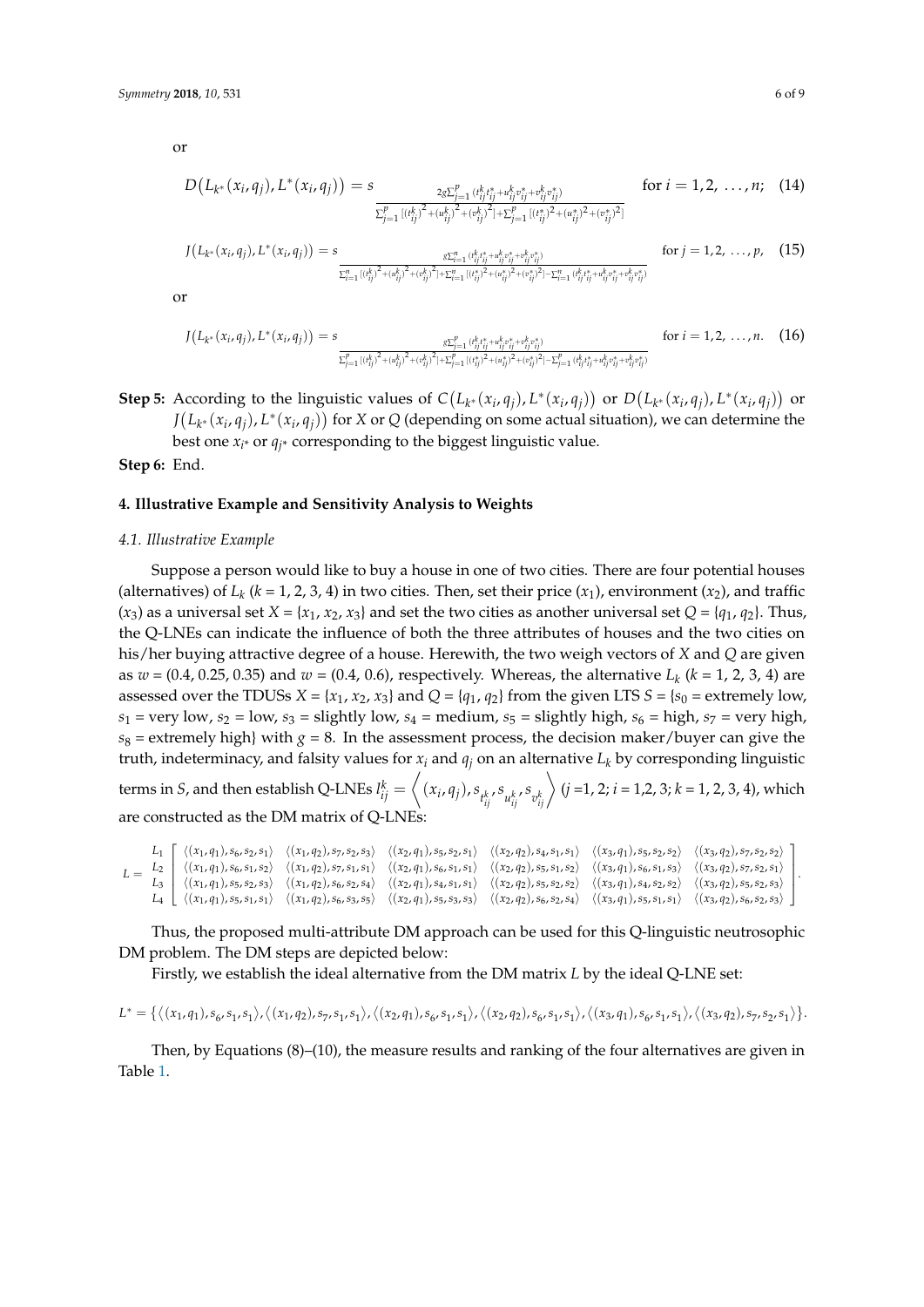or

$$
D(L_{k^*}(x_i, q_j), L^*(x_i, q_j)) = s \n\frac{2g \sum_{j=1}^p (i_{ij}^k i_{ij}^* + u_{ij}^k v_{ij}^* + v_{ij}^k v_{ij}^*)}{\sum_{j=1}^p [(i_{ij}^k)^2 + (u_{ij}^k)^2 + (v_{ij}^k)^2] + \sum_{j=1}^p [(i_{ij}^k)^2 + (u_{ij}^k)^2 + (v_{ij}^k)^2]} \n\text{for } i = 1, 2, ..., n; \quad (14)
$$

$$
J(L_{k^*}(x_i, q_j), L^*(x_i, q_j)) = s \n\frac{\sum_{i=1}^n (i_{ij}^k)^2 + (w_{ij}^k)^2 + (w_{ij}^k)^2 + (w_{ij}^k)^2 + (w_{ij}^k)^2 + (w_{ij}^k)^2 + (w_{ij}^k)^2 + (w_{ij}^k)^2 + (w_{ij}^k)^2 + (w_{ij}^k)^2 + (w_{ij}^k)^2 + (w_{ij}^k)^2 + (w_{ij}^k)^2 + (w_{ij}^k)^2 + (w_{ij}^k)^2 + (w_{ij}^k)^2 + (w_{ij}^k)^2 + (w_{ij}^k)^2 + (w_{ij}^k)^2 + (w_{ij}^k)^2 + (w_{ij}^k)^2 + (w_{ij}^k)^2 + (w_{ij}^k)^2 + (w_{ij}^k)^2 + (w_{ij}^k)^2 + (w_{ij}^k)^2 + (w_{ij}^k)^2 + (w_{ij}^k)^2 + (w_{ij}^k)^2 + (w_{ij}^k)^2 + (w_{ij}^k)^2 + (w_{ij}^k)^2 + (w_{ij}^k)^2 + (w_{ij}^k)^2 + (w_{ij}^k)^2 + (w_{ij}^k)^2 + (w_{ij}^k)^2 + (w_{ij}^k)^2 + (w_{ij}^k)^2 + (w_{ij}^k)^2 + (w_{ij}^k)^2 + (w_{ij}^k)^2 + (w_{ij}^k)^2 + (w_{ij}^k)^2 + (w_{ij}^k)^2 + (w_{ij}^k)^2 + (w_{ij}^k)^2 + (w_{ij}^k)^2 + (w_{ij}^k)^2 + (w_{ij}^k)^2 + (w_{ij}^k)^2 + (w_{ij}^k)^2 + (w_{ij}^k)^2 + (w_{ij}^k)^2 + (w_{ij}^k)^2 + (w_{ij}^k)^2 + (w_{ij}^k)^2 + (w_{ij}^k)^2 + (w_{ij}^k)^2 + (w_{ij}^k)^2 + (w_{ij}^k)^2 + (w_{ij}^k)^2 + (w_{ij}^k)^2 + (w_{ij}^k)^2 + (w_{ij}^k)^2 + (w_{ij}^k)^2 + (w_{ij}^k)^2 + (w_{ij}^k)^2 + (w_{ij}^k)^2 + (w_{ij}^k)^2 + (w_{ij}^k)^2 + (w_{ij}^k)^2 + (w
$$

or

$$
J(L_{k^*}(x_i, q_j), L^*(x_i, q_j)) = s \n\frac{\sum_{j=1}^p (i_{ij}^k)^2 + (w_{ij}^k)^2 + (w_{ij}^k)^2 + (w_{ij}^k)^2 + (w_{ij}^k)^2 + (w_{ij}^k)^2 + (w_{ij}^k)^2 + (w_{ij}^k)^2 + (w_{ij}^k)^2 + (w_{ij}^k)^2 + (w_{ij}^k)^2 + (w_{ij}^k)^2 + (w_{ij}^k)^2 + (w_{ij}^k)^2 + (w_{ij}^k)^2 + (w_{ij}^k)^2 + (w_{ij}^k)^2 + (w_{ij}^k)^2 + (w_{ij}^k)^2 + (w_{ij}^k)^2 + (w_{ij}^k)^2 + (w_{ij}^k)^2 + (w_{ij}^k)^2 + (w_{ij}^k)^2 + (w_{ij}^k)^2 + (w_{ij}^k)^2 + (w_{ij}^k)^2 + (w_{ij}^k)^2 + (w_{ij}^k)^2 + (w_{ij}^k)^2 + (w_{ij}^k)^2 + (w_{ij}^k)^2 + (w_{ij}^k)^2 + (w_{ij}^k)^2 + (w_{ij}^k)^2 + (w_{ij}^k)^2 + (w_{ij}^k)^2 + (w_{ij}^k)^2 + (w_{ij}^k)^2 + (w_{ij}^k)^2 + (w_{ij}^k)^2 + (w_{ij}^k)^2 + (w_{ij}^k)^2 + (w_{ij}^k)^2 + (w_{ij}^k)^2 + (w_{ij}^k)^2 + (w_{ij}^k)^2 + (w_{ij}^k)^2 + (w_{ij}^k)^2 + (w_{ij}^k)^2 + (w_{ij}^k)^2 + (w_{ij}^k)^2 + (w_{ij}^k)^2 + (w_{ij}^k)^2 + (w_{ij}^k)^2 + (w_{ij}^k)^2 + (w_{ij}^k)^2 + (w_{ij}^k)^2 + (w_{ij}^k)^2 + (w_{ij}^k)^2 + (w_{ij}^k)^2 + (w_{ij}^k)^2 + (w_{ij}^k)^2 + (w_{ij}^k)^2 + (w_{ij}^k)^2 + (w_{ij}^k)^2 + (w_{ij}^k)^2 + (w_{ij}^k)^2 + (w_{ij}^k)^2 + (w_{ij}^k)^2 + (w_{ij}^k)^2 + (w_{ij}^k)^2 + (w
$$

**Step 5:** According to the linguistic values of  $C(L_{k^*}(x_i,q_j), L^*(x_i,q_j))$  or  $D(L_{k^*}(x_i,q_j), L^*(x_i,q_j))$  or  $J(L_{k^*}(x_i, q_j), L^*(x_i, q_j))$  for *X* or *Q* (depending on some actual situation), we can determine the best one  $x_i^*$  or  $q_i^*$  corresponding to the biggest linguistic value.

**Step 6:** End.

## **4. Illustrative Example and Sensitivity Analysis to Weights**

#### *4.1. Illustrative Example*

Suppose a person would like to buy a house in one of two cities. There are four potential houses (alternatives) of  $L_k$  ( $k = 1, 2, 3, 4$ ) in two cities. Then, set their price  $(x_1)$ , environment  $(x_2)$ , and traffic  $(x_3)$  as a universal set  $X = \{x_1, x_2, x_3\}$  and set the two cities as another universal set  $Q = \{q_1, q_2\}$ . Thus, the Q-LNEs can indicate the influence of both the three attributes of houses and the two cities on his/her buying attractive degree of a house. Herewith, the two weigh vectors of *X* and *Q* are given as *w* = (0.4, 0.25, 0.35) and *w* = (0.4, 0.6), respectively. Whereas, the alternative *L<sup>k</sup>* (*k* = 1, 2, 3, 4) are assessed over the TDUSs  $X = \{x_1, x_2, x_3\}$  and  $Q = \{q_1, q_2\}$  from the given LTS  $S = \{s_0 =$  extremely low,  $s_1$  = very low,  $s_2$  = low,  $s_3$  = slightly low,  $s_4$  = medium,  $s_5$  = slightly high,  $s_6$  = high,  $s_7$  = very high,  $s_8$  = extremely high} with  $g = 8$ . In the assessment process, the decision maker/buyer can give the truth, indeterminacy, and falsity values for  $x_i$  and  $q_i$  on an alternative  $L_k$  by corresponding linguistic

terms in *S*, and then establish Q-LNEs  $l_{ij}^k = \left\langle (x_i, q_j), s_{t_{ij}^k}, s_{u_{ij}^k}, s_{v_{ij}^k} \right\rangle$   $(j = 1, 2; i = 1, 2, 3; k = 1, 2, 3, 4)$ , which are constructed as the DM matrix of Q-LNEs

| $L_1 \left[ \langle (x_1, q_1), s_6, s_2, s_1 \rangle \ \langle (x_1, q_2), s_7, s_2, s_3 \rangle \ \langle (x_2, q_1), s_5, s_2, s_1 \rangle \ \langle (x_2, q_2), s_4, s_1, s_1 \rangle \ \langle (x_3, q_1), s_5, s_2, s_2 \rangle \ \langle (x_3, q_2), s_7, s_2, s_2 \rangle \right]$   |  |  |  |
|----------------------------------------------------------------------------------------------------------------------------------------------------------------------------------------------------------------------------------------------------------------------------------------------|--|--|--|
|                                                                                                                                                                                                                                                                                              |  |  |  |
|                                                                                                                                                                                                                                                                                              |  |  |  |
| $L_4$ $\left( \langle (x_1, q_1), s_5, s_1, s_1 \rangle \ \langle (x_1, q_2), s_6, s_3, s_5 \rangle \ \langle (x_2, q_1), s_5, s_3, s_3 \rangle \ \langle (x_2, q_2), s_6, s_2, s_4 \rangle \ \langle (x_3, q_1), s_5, s_1, s_1 \rangle \ \langle (x_3, q_2), s_6, s_2, s_3 \rangle \right)$ |  |  |  |

Thus, the proposed multi-attribute DM approach can be used for this Q-linguistic neutrosophic DM problem. The DM steps are depicted below:

Firstly, we establish the ideal alternative from the DM matrix *L* by the ideal Q-LNE set:

 $L^*=\{\big\langle (x_1,q_1),s_6,s_1,s_1 \big\rangle, \big\langle (x_1,q_2),s_7,s_1,s_1 \big\rangle, \big\langle (x_2,q_1),s_6,s_1,s_1 \big\rangle, \big\langle (x_2,q_2),s_6,s_1,s_1 \big\rangle, \big\langle (x_3,q_1),s_6,s_1,s_1 \big\rangle, \big\langle (x_3,q_2),s_7,s_2,s_1 \big\rangle\big\}.$ 

Then, by Equations (8)–(10), the measure results and ranking of the four alternatives are given in Table [1.](#page-6-0)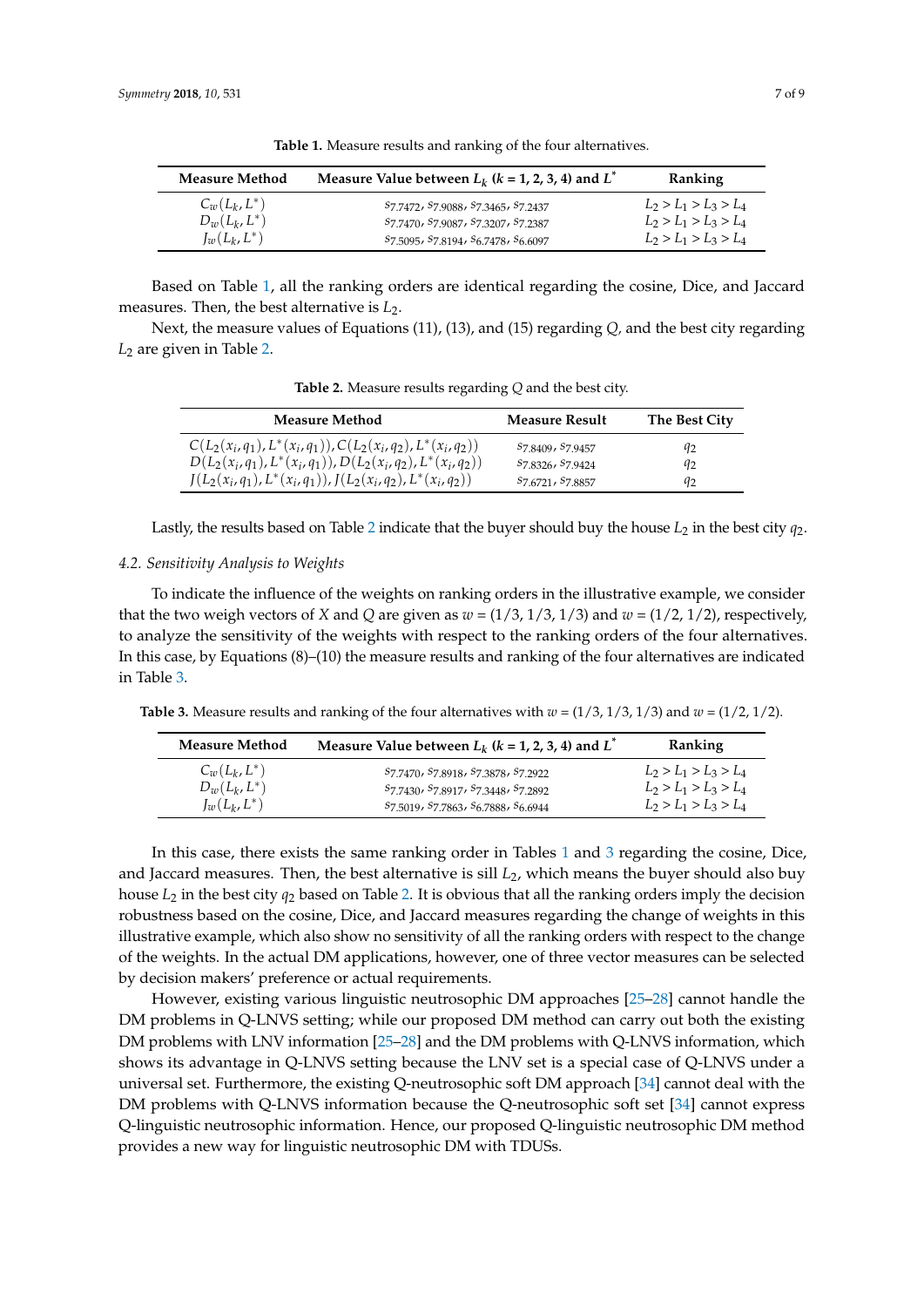<span id="page-6-0"></span>

| <b>Measure Method</b> | Measure Value between $L_k$ ( $k = 1, 2, 3, 4$ ) and $L^{\dagger}$ | Ranking                 |
|-----------------------|--------------------------------------------------------------------|-------------------------|
| $C_w(L_k,L^*)$        | S7.7472, S7.9088, S7.3465, S7.2437                                 | $L_2 > L_1 > L_3 > L_4$ |
| $D_w(L_k,L^*)$        | S7.7470, S7.9087, S7.3207, S7.2387                                 | $L_2 > L_1 > L_3 > L_4$ |
| $I_w(L_k,L^*)$        | S7.5095, S7.8194, S6.7478, S6.6097                                 | $L_2 > L_1 > L_3 > L_4$ |

**Table 1.** Measure results and ranking of the four alternatives.

Based on Table [1,](#page-6-0) all the ranking orders are identical regarding the cosine, Dice, and Jaccard measures. Then, the best alternative is  $L_2$ .

<span id="page-6-1"></span>Next, the measure values of Equations (11), (13), and (15) regarding *Q,* and the best city regarding *L*<sub>2</sub> are given in Table [2.](#page-6-1)

**Table 2.** Measure results regarding *Q* and the best city.

| <b>Measure Method</b>                                        | <b>Measure Result</b> | The Best City |
|--------------------------------------------------------------|-----------------------|---------------|
| $C(L_2(x_i,q_1),L^*(x_i,q_1)), C(L_2(x_i,q_2),L^*(x_i,q_2))$ | S7.8409, S7.9457      | 92            |
| $D(L_2(x_i,q_1),L^*(x_i,q_1)),D(L_2(x_i,q_2),L^*(x_i,q_2))$  | S7 8326, S7 9424      | 92            |
| $J(L_2(x_i,q_1),L^*(x_i,q_1)), J(L_2(x_i,q_2),L^*(x_i,q_2))$ | S7 6721, S7 8857      | 92            |

Lastly, the results based on Table [2](#page-6-1) indicate that the buyer should buy the house *L*<sup>2</sup> in the best city *q*2.

#### *4.2. Sensitivity Analysis to Weights*

To indicate the influence of the weights on ranking orders in the illustrative example, we consider that the two weigh vectors of *X* and *Q* are given as  $w = (1/3, 1/3, 1/3)$  and  $w = (1/2, 1/2)$ , respectively, to analyze the sensitivity of the weights with respect to the ranking orders of the four alternatives. In this case, by Equations (8)–(10) the measure results and ranking of the four alternatives are indicated in Table [3.](#page-6-2)

<span id="page-6-2"></span>**Table 3.** Measure results and ranking of the four alternatives with  $w = (1/3, 1/3, 1/3)$  and  $w = (1/2, 1/2)$ .

| Measure Method       | Measure Value between $L_k$ ( $k = 1, 2, 3, 4$ ) and $L^*$                            | Ranking                 |
|----------------------|---------------------------------------------------------------------------------------|-------------------------|
| $C_w(L_k,L^*)$       | S7.7470, S7.8918, S7.3878, S7.2922                                                    | $L_2 > L_1 > L_3 > L_4$ |
| $D_{w}(L_{k},L^{*})$ | S7.7430, S7.8917, S7.3448, S7.2892                                                    | $L_2 > L_1 > L_3 > L_4$ |
| $J_w(L_k,L^*)$       | S <sub>7.5019</sub> , S <sub>7.7863</sub> , S <sub>6.7888</sub> , S <sub>6.6944</sub> | $L_2 > L_1 > L_3 > L_4$ |

In this case, there exists the same ranking order in Tables [1](#page-6-0) and [3](#page-6-2) regarding the cosine, Dice, and Jaccard measures. Then, the best alternative is sill *L*2, which means the buyer should also buy house *L*<sup>2</sup> in the best city *q*<sup>2</sup> based on Table [2.](#page-6-1) It is obvious that all the ranking orders imply the decision robustness based on the cosine, Dice, and Jaccard measures regarding the change of weights in this illustrative example, which also show no sensitivity of all the ranking orders with respect to the change of the weights. In the actual DM applications, however, one of three vector measures can be selected by decision makers' preference or actual requirements.

However, existing various linguistic neutrosophic DM approaches [\[25–](#page-8-6)[28\]](#page-8-9) cannot handle the DM problems in Q-LNVS setting; while our proposed DM method can carry out both the existing DM problems with LNV information [\[25](#page-8-6)[–28\]](#page-8-9) and the DM problems with Q-LNVS information, which shows its advantage in Q-LNVS setting because the LNV set is a special case of Q-LNVS under a universal set. Furthermore, the existing Q-neutrosophic soft DM approach [\[34\]](#page-8-15) cannot deal with the DM problems with Q-LNVS information because the Q-neutrosophic soft set [\[34\]](#page-8-15) cannot express Q-linguistic neutrosophic information. Hence, our proposed Q-linguistic neutrosophic DM method provides a new way for linguistic neutrosophic DM with TDUSs.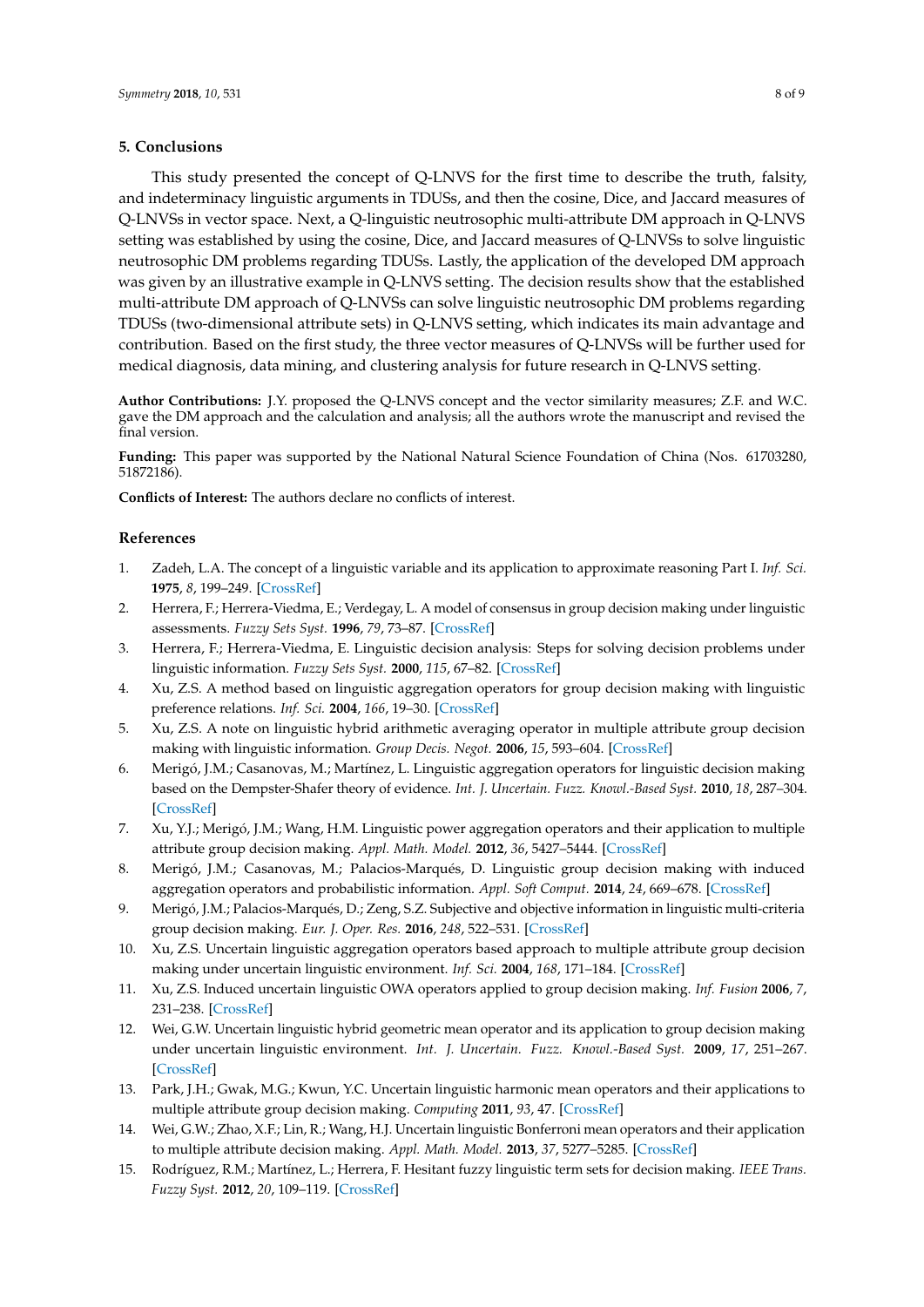## **5. Conclusions**

This study presented the concept of Q-LNVS for the first time to describe the truth, falsity, and indeterminacy linguistic arguments in TDUSs, and then the cosine, Dice, and Jaccard measures of Q-LNVSs in vector space. Next, a Q-linguistic neutrosophic multi-attribute DM approach in Q-LNVS setting was established by using the cosine, Dice, and Jaccard measures of Q-LNVSs to solve linguistic neutrosophic DM problems regarding TDUSs. Lastly, the application of the developed DM approach was given by an illustrative example in Q-LNVS setting. The decision results show that the established multi-attribute DM approach of Q-LNVSs can solve linguistic neutrosophic DM problems regarding TDUSs (two-dimensional attribute sets) in Q-LNVS setting, which indicates its main advantage and contribution. Based on the first study, the three vector measures of Q-LNVSs will be further used for medical diagnosis, data mining, and clustering analysis for future research in Q-LNVS setting.

**Author Contributions:** J.Y. proposed the Q-LNVS concept and the vector similarity measures; Z.F. and W.C. gave the DM approach and the calculation and analysis; all the authors wrote the manuscript and revised the final version.

**Funding:** This paper was supported by the National Natural Science Foundation of China (Nos. 61703280, 51872186).

**Conflicts of Interest:** The authors declare no conflicts of interest.

#### **References**

- <span id="page-7-0"></span>1. Zadeh, L.A. The concept of a linguistic variable and its application to approximate reasoning Part I. *Inf. Sci.* **1975**, *8*, 199–249. [\[CrossRef\]](http://dx.doi.org/10.1016/0020-0255(75)90036-5)
- <span id="page-7-1"></span>2. Herrera, F.; Herrera-Viedma, E.; Verdegay, L. A model of consensus in group decision making under linguistic assessments. *Fuzzy Sets Syst.* **1996**, *79*, 73–87. [\[CrossRef\]](http://dx.doi.org/10.1016/0165-0114(95)00107-7)
- 3. Herrera, F.; Herrera-Viedma, E. Linguistic decision analysis: Steps for solving decision problems under linguistic information. *Fuzzy Sets Syst.* **2000**, *115*, 67–82. [\[CrossRef\]](http://dx.doi.org/10.1016/S0165-0114(99)00024-X)
- 4. Xu, Z.S. A method based on linguistic aggregation operators for group decision making with linguistic preference relations. *Inf. Sci.* **2004**, *166*, 19–30. [\[CrossRef\]](http://dx.doi.org/10.1016/j.ins.2003.10.006)
- 5. Xu, Z.S. A note on linguistic hybrid arithmetic averaging operator in multiple attribute group decision making with linguistic information. *Group Decis. Negot.* **2006**, *15*, 593–604. [\[CrossRef\]](http://dx.doi.org/10.1007/s10726-005-9008-4)
- 6. Merigó, J.M.; Casanovas, M.; Martínez, L. Linguistic aggregation operators for linguistic decision making based on the Dempster-Shafer theory of evidence. *Int. J. Uncertain. Fuzz. Knowl.-Based Syst.* **2010**, *18*, 287–304. [\[CrossRef\]](http://dx.doi.org/10.1142/S0218488510006544)
- 7. Xu, Y.J.; Merigó, J.M.; Wang, H.M. Linguistic power aggregation operators and their application to multiple attribute group decision making. *Appl. Math. Model.* **2012**, *36*, 5427–5444. [\[CrossRef\]](http://dx.doi.org/10.1016/j.apm.2011.12.002)
- 8. Merigó, J.M.; Casanovas, M.; Palacios-Marqués, D. Linguistic group decision making with induced aggregation operators and probabilistic information. *Appl. Soft Comput.* **2014**, *24*, 669–678. [\[CrossRef\]](http://dx.doi.org/10.1016/j.asoc.2014.08.035)
- <span id="page-7-2"></span>9. Merigó, J.M.; Palacios-Marqués, D.; Zeng, S.Z. Subjective and objective information in linguistic multi-criteria group decision making. *Eur. J. Oper. Res.* **2016**, *248*, 522–531. [\[CrossRef\]](http://dx.doi.org/10.1016/j.ejor.2015.06.063)
- <span id="page-7-3"></span>10. Xu, Z.S. Uncertain linguistic aggregation operators based approach to multiple attribute group decision making under uncertain linguistic environment. *Inf. Sci.* **2004**, *168*, 171–184. [\[CrossRef\]](http://dx.doi.org/10.1016/j.ins.2004.02.003)
- 11. Xu, Z.S. Induced uncertain linguistic OWA operators applied to group decision making. *Inf. Fusion* **2006**, *7*, 231–238. [\[CrossRef\]](http://dx.doi.org/10.1016/j.inffus.2004.06.005)
- 12. Wei, G.W. Uncertain linguistic hybrid geometric mean operator and its application to group decision making under uncertain linguistic environment. *Int. J. Uncertain. Fuzz. Knowl.-Based Syst.* **2009**, *17*, 251–267. [\[CrossRef\]](http://dx.doi.org/10.1142/S021848850900584X)
- 13. Park, J.H.; Gwak, M.G.; Kwun, Y.C. Uncertain linguistic harmonic mean operators and their applications to multiple attribute group decision making. *Computing* **2011**, *93*, 47. [\[CrossRef\]](http://dx.doi.org/10.1007/s00607-011-0151-2)
- <span id="page-7-4"></span>14. Wei, G.W.; Zhao, X.F.; Lin, R.; Wang, H.J. Uncertain linguistic Bonferroni mean operators and their application to multiple attribute decision making. *Appl. Math. Model.* **2013**, *37*, 5277–5285. [\[CrossRef\]](http://dx.doi.org/10.1016/j.apm.2012.10.048)
- <span id="page-7-5"></span>15. Rodríguez, R.M.; Martínez, L.; Herrera, F. Hesitant fuzzy linguistic term sets for decision making. *IEEE Trans. Fuzzy Syst.* **2012**, *20*, 109–119. [\[CrossRef\]](http://dx.doi.org/10.1109/TFUZZ.2011.2170076)